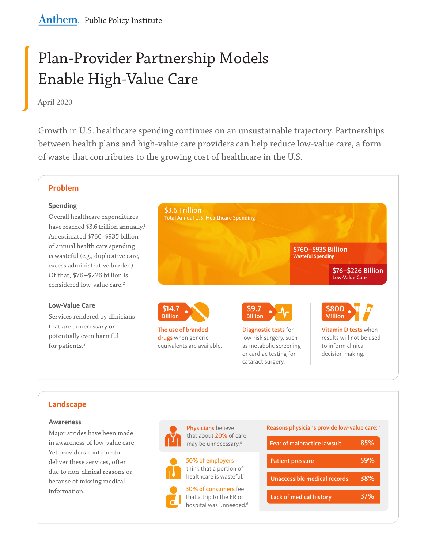# Plan-Provider Partnership Models Enable High-Value Care

# April 2020

Growth in U.S. healthcare spending continues on an unsustainable trajectory. Partnerships between health plans and high-value care providers can help reduce low-value care, a form of waste that contributes to the growing cost of healthcare in the U.S.

## **Problem**

## **Spending**

Overall healthcare expenditures have reached \$3.6 trillion annually.<sup>1</sup> An estimated \$760—\$935 billion of annual health care spending is wasteful (e.g., duplicative care, excess administrative burden). Of that, \$76 —\$226 billion is considered low-value care.<sup>2</sup>

## **Low-Value Care**

Services rendered by clinicians that are unnecessary or potentially even harmful for patients.<sup>3</sup>



cataract surgery.

# **Landscape**

## **Awareness**

Major strides have been made in awareness of low-value care. Yet providers continue to deliver these services, often due to non-clinical reasons or because of missing medical information.



Physicians believe that about 20% of care may be unnecessary. $4$ 



50% of employers think that a portion of



healthcare is wasteful.<sup>5</sup>

30% of consumers feel that a trip to the ER or hospital was unneeded.<sup>6</sup> Reasons physicians provide low-value care: <sup>7</sup>

| <b>Fear of malpractice lawsuit</b> | 85% |
|------------------------------------|-----|
| <b>Patient pressure</b>            | 59% |
| Unaccessible medical records       | 38% |
| Lack of medical history            | 37% |